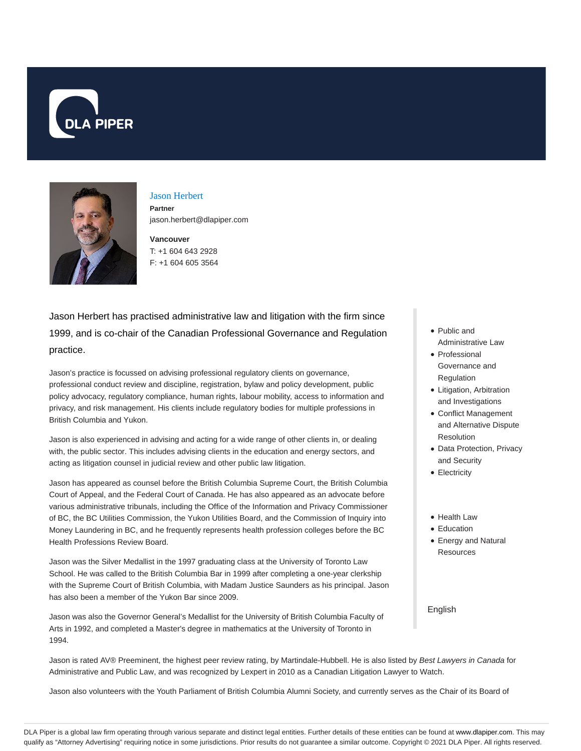



# Jason Herbert **Partner**

jason.herbert@dlapiper.com

**Vancouver** T: +1 604 643 2928 F: +1 604 605 3564

Jason Herbert has practised administrative law and litigation with the firm since 1999, and is co-chair of the Canadian Professional Governance and Regulation practice.

Jason's practice is focussed on advising professional regulatory clients on governance, professional conduct review and discipline, registration, bylaw and policy development, public policy advocacy, regulatory compliance, human rights, labour mobility, access to information and privacy, and risk management. His clients include regulatory bodies for multiple professions in British Columbia and Yukon.

Jason is also experienced in advising and acting for a wide range of other clients in, or dealing with, the public sector. This includes advising clients in the education and energy sectors, and acting as litigation counsel in judicial review and other public law litigation.

Jason has appeared as counsel before the British Columbia Supreme Court, the British Columbia Court of Appeal, and the Federal Court of Canada. He has also appeared as an advocate before various administrative tribunals, including the Office of the Information and Privacy Commissioner of BC, the BC Utilities Commission, the Yukon Utilities Board, and the Commission of Inquiry into Money Laundering in BC, and he frequently represents health profession colleges before the BC Health Professions Review Board.

Jason was the Silver Medallist in the 1997 graduating class at the University of Toronto Law School. He was called to the British Columbia Bar in 1999 after completing a one-year clerkship with the Supreme Court of British Columbia, with Madam Justice Saunders as his principal. Jason has also been a member of the Yukon Bar since 2009.

Jason was also the Governor General's Medallist for the University of British Columbia Faculty of Arts in 1992, and completed a Master's degree in mathematics at the University of Toronto in 1994.

- Public and Administrative Law
- Professional Governance and
	- Regulation
- Litigation, Arbitration and Investigations
- Conflict Management and Alternative Dispute Resolution
- Data Protection, Privacy and Security
- Electricity
- Health Law
- Education
- Energy and Natural **Resources**

English

Jason is rated AV® Preeminent, the highest peer review rating, by Martindale-Hubbell. He is also listed by Best Lawyers in Canada for Administrative and Public Law, and was recognized by Lexpert in 2010 as a Canadian Litigation Lawyer to Watch.

Jason also volunteers with the Youth Parliament of British Columbia Alumni Society, and currently serves as the Chair of its Board of

DLA Piper is a global law firm operating through various separate and distinct legal entities. Further details of these entities can be found at www.dlapiper.com. This may qualify as "Attorney Advertising" requiring notice in some jurisdictions. Prior results do not guarantee a similar outcome. Copyright @ 2021 DLA Piper. All rights reserved.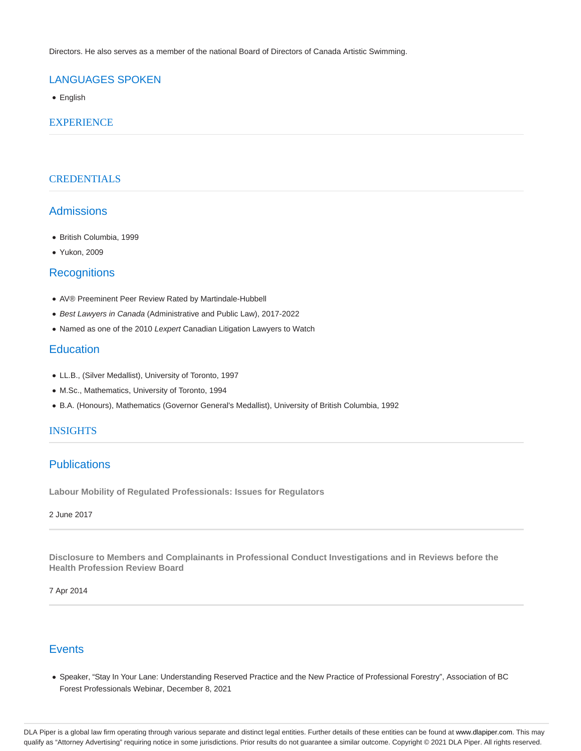Directors. He also serves as a member of the national Board of Directors of Canada Artistic Swimming.

# LANGUAGES SPOKEN

• English

### **EXPERIENCE**

## **CREDENTIALS**

# Admissions

- British Columbia, 1999
- Yukon, 2009

## **Recognitions**

- AV® Preeminent Peer Review Rated by Martindale-Hubbell
- Best Lawyers in Canada (Administrative and Public Law), 2017-2022
- Named as one of the 2010 Lexpert Canadian Litigation Lawyers to Watch

# **Education**

- LL.B., (Silver Medallist), University of Toronto, 1997
- M.Sc., Mathematics, University of Toronto, 1994
- B.A. (Honours), Mathematics (Governor General's Medallist), University of British Columbia, 1992

### INSIGHTS

# **Publications**

**Labour Mobility of Regulated Professionals: Issues for Regulators**

### 2 June 2017

**Disclosure to Members and Complainants in Professional Conduct Investigations and in Reviews before the Health Profession Review Board**

#### 7 Apr 2014

# **Events**

Speaker, "Stay In Your Lane: Understanding Reserved Practice and the New Practice of Professional Forestry", Association of BC Forest Professionals Webinar, December 8, 2021

DLA Piper is a global law firm operating through various separate and distinct legal entities. Further details of these entities can be found at www.dlapiper.com. This may qualify as "Attorney Advertising" requiring notice in some jurisdictions. Prior results do not guarantee a similar outcome. Copyright © 2021 DLA Piper. All rights reserved.